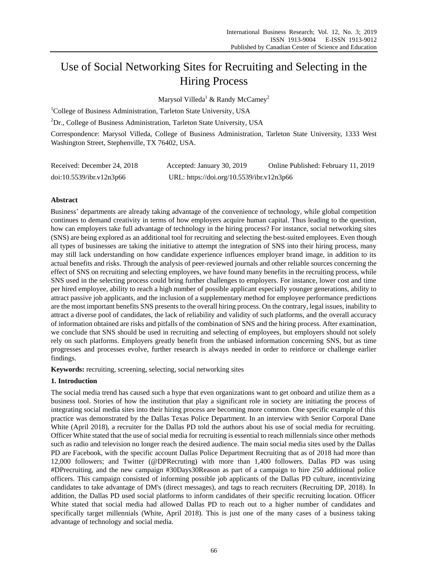# Use of Social Networking Sites for Recruiting and Selecting in the Hiring Process

Marysol Villeda<sup>1</sup> & Randy McCamey<sup>2</sup>

<sup>1</sup>College of Business Administration, Tarleton State University, USA

 ${}^{2}Dr$ ., College of Business Administration, Tarleton State University, USA

Correspondence: Marysol Villeda, College of Business Administration, Tarleton State University, 1333 West Washington Street, Stephenville, TX 76402, USA.

| Received: December 24, 2018 | Accepted: January 30, 2019                | Online Published: February 11, 2019 |
|-----------------------------|-------------------------------------------|-------------------------------------|
| doi:10.5539/ibr.v12n3p66    | URL: https://doi.org/10.5539/ibr.v12n3p66 |                                     |

# **Abstract**

Business' departments are already taking advantage of the convenience of technology, while global competition continues to demand creativity in terms of how employers acquire human capital. Thus leading to the question, how can employers take full advantage of technology in the hiring process? For instance, social networking sites (SNS) are being explored as an additional tool for recruiting and selecting the best-suited employees. Even though all types of businesses are taking the initiative to attempt the integration of SNS into their hiring process, many may still lack understanding on how candidate experience influences employer brand image, in addition to its actual benefits and risks. Through the analysis of peer-reviewed journals and other reliable sources concerning the effect of SNS on recruiting and selecting employees, we have found many benefits in the recruiting process, while SNS used in the selecting process could bring further challenges to employers. For instance, lower cost and time per hired employee, ability to reach a high number of possible applicant especially younger generations, ability to attract passive job applicants, and the inclusion of a supplementary method for employee performance predictions are the most important benefits SNS presents to the overall hiring process. On the contrary, legal issues, inability to attract a diverse pool of candidates, the lack of reliability and validity of such platforms, and the overall accuracy of information obtained are risks and pitfalls of the combination of SNS and the hiring process. After examination, we conclude that SNS should be used in recruiting and selecting of employees, but employers should not solely rely on such platforms. Employers greatly benefit from the unbiased information concerning SNS, but as time progresses and processes evolve, further research is always needed in order to reinforce or challenge earlier findings.

**Keywords:** recruiting, screening, selecting, social networking sites

# **1. Introduction**

The social media trend has caused such a hype that even organizations want to get onboard and utilize them as a business tool. Stories of how the institution that play a significant role in society are initiating the process of integrating social media sites into their hiring process are becoming more common. One specific example of this practice was demonstrated by the Dallas Texas Police Department. In an interview with Senior Corporal Dane White (April 2018), a recruiter for the Dallas PD told the authors about his use of social media for recruiting. Officer White stated that the use of social media for recruiting is essential to reach millennials since other methods such as radio and television no longer reach the desired audience. The main social media sites used by the Dallas PD are Facebook, with the specific account Dallas Police Department Recruiting that as of 2018 had more than 12,000 followers; and Twitter (@DPRecruting) with more than 1,400 followers. Dallas PD was using #DPrecruiting, and the new campaign #30Days30Reason as part of a campaign to hire 250 additional police officers. This campaign consisted of informing possible job applicants of the Dallas PD culture, incentivizing candidates to take advantage of DM's (direct messages), and tags to reach recruiters (Recruiting DP, 2018). In addition, the Dallas PD used social platforms to inform candidates of their specific recruiting location. Officer White stated that social media had allowed Dallas PD to reach out to a higher number of candidates and specifically target millennials (White, April 2018). This is just one of the many cases of a business taking advantage of technology and social media.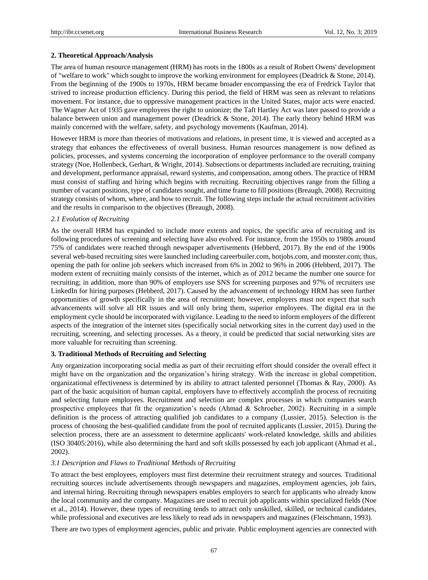#### **2. Theoretical Approach/Analysis**

The area of human resource management (HRM) has roots in the 1800s as a result of Robert Owens' development of "welfare to work" which sought to improve the working environment for employees (Deadrick & Stone, 2014). From the beginning of the 1900s to 1970s, HRM became broader encompassing the era of Fredrick Taylor that strived to increase production efficiency. During this period, the field of HRM was seen as relevant to relations movement. For instance, due to oppressive management practices in the United States, major acts were enacted. The Wagner Act of 1935 gave employees the right to unionize; the Taft Hartley Act was later passed to provide a balance between union and management power (Deadrick & Stone, 2014). The early theory behind HRM was mainly concerned with the welfare, safety, and psychology movements (Kaufman, 2014).

However HRM is more than theories of motivations and relations, in present time, it is viewed and accepted as a strategy that enhances the effectiveness of overall business. Human resources management is now defined as policies, processes, and systems concerning the incorporation of employee performance to the overall company strategy (Noe, Hollenbeck, Gerhart, & Wright, 2014). Subsections or departments included are recruiting, training and development, performance appraisal, reward systems, and compensation, among others. The practice of HRM must consist of staffing and hiring which begins with recruiting. Recruiting objectives range from the filling a number of vacant positions, type of candidates sought, and time frame to fill positions (Breaugh, 2008). Recruiting strategy consists of whom, where, and how to recruit. The following steps include the actual recruitment activities and the results in comparison to the objectives (Breaugh, 2008).

#### *2.1 Evolution of Recruiting*

As the overall HRM has expanded to include more extents and topics, the specific area of recruiting and its following procedures of screening and selecting have also evolved. For instance, from the 1950s to 1980s around 75% of candidates were reached through newspaper advertisements (Hebberd, 2017). By the end of the 1900s several web-based recruiting sites were launched including careerbuiler.com, hotjobs.com, and monster.com; thus, opening the path for online job seekers which increased from 6% in 2002 to 96% in 2006 (Hebberd, 2017). The modern extent of recruiting mainly consists of the internet, which as of 2012 became the number one source for recruiting; in addition, more than 90% of employers use SNS for screening purposes and 97% of recruiters use LinkedIn for hiring purposes (Hebberd, 2017). Caused by the advancement of technology HRM has seen further opportunities of growth specifically in the area of recruitment; however, employers must not expect that such advancements will solve all HR issues and will only bring them, superior employees. The digital era in the employment cycle should be incorporated with vigilance. Leading to the need to inform employers of the different aspects of the integration of the internet sites (specifically social networking sites in the current day) used in the recruiting, screening, and selecting processes. As a theory, it could be predicted that social networking sites are more valuable for recruiting than screening.

### **3. Traditional Methods of Recruiting and Selecting**

Any organization incorporating social media as part of their recruiting effort should consider the overall effect it might have on the organization and the organization's hiring strategy. With the increase in global competition, organizational effectiveness is determined by its ability to attract talented personnel (Thomas & Ray, 2000). As part of the basic acquisition of human capital, employers have to effectively accomplish the process of recruiting and selecting future employees. Recruitment and selection are complex processes in which companies search prospective employees that fit the organization's needs (Ahmad & Schroeher, 2002). Recruiting in a simple definition is the process of attracting qualified job candidates to a company (Lussier, 2015). Selection is the process of choosing the best-qualified candidate from the pool of recruited applicants (Lussier, 2015). During the selection process, there are an assessment to determine applicants' work-related knowledge, skills and abilities (ISO 30405:2016), while also determining the hard and soft skills possessed by each job applicant (Ahmad et al., 2002).

#### *3.1 Description and Flaws to Traditional Methods of Recruiting*

To attract the best employees, employers must first determine their recruitment strategy and sources. Traditional recruiting sources include advertisements through newspapers and magazines, employment agencies, job fairs, and internal hiring. Recruiting through newspapers enables employers to search for applicants who already know the local community and the company. Magazines are used to recruit job applicants within specialized fields (Noe et al., 2014). However, these types of recruiting tends to attract only unskilled, skilled, or technical candidates, while professional and executives are less likely to read ads in newspapers and magazines (Fleischmann, 1993).

There are two types of employment agencies, public and private. Public employment agencies are connected with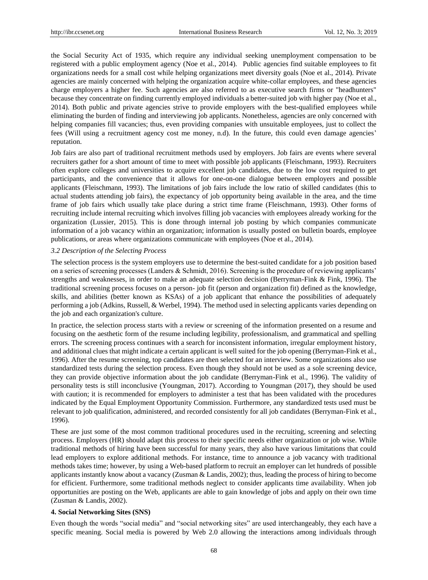the Social Security Act of 1935, which require any individual seeking unemployment compensation to be registered with a public employment agency (Noe et al., 2014). Public agencies find suitable employees to fit organizations needs for a small cost while helping organizations meet diversity goals (Noe et al., 2014). Private agencies are mainly concerned with helping the organization acquire white-collar employees, and these agencies charge employers a higher fee. Such agencies are also referred to as executive search firms or "headhunters" because they concentrate on finding currently employed individuals a better-suited job with higher pay (Noe et al., 2014). Both public and private agencies strive to provide employers with the best-qualified employees while eliminating the burden of finding and interviewing job applicants. Nonetheless, agencies are only concerned with helping companies fill vacancies; thus, even providing companies with unsuitable employees, just to collect the fees (Will using a recruitment agency cost me money, n.d). In the future, this could even damage agencies' reputation.

Job fairs are also part of traditional recruitment methods used by employers. Job fairs are events where several recruiters gather for a short amount of time to meet with possible job applicants (Fleischmann, 1993). Recruiters often explore colleges and universities to acquire excellent job candidates, due to the low cost required to get participants, and the convenience that it allows for one-on-one dialogue between employers and possible applicants (Fleischmann, 1993). The limitations of job fairs include the low ratio of skilled candidates (this to actual students attending job fairs), the expectancy of job opportunity being available in the area, and the time frame of job fairs which usually take place during a strict time frame (Fleischmann, 1993). Other forms of recruiting include internal recruiting which involves filling job vacancies with employees already working for the organization (Lussier, 2015). This is done through internal job posting by which companies communicate information of a job vacancy within an organization; information is usually posted on bulletin boards, employee publications, or areas where organizations communicate with employees (Noe et al., 2014).

## *3.2 Description of the Selecting Process*

The selection process is the system employers use to determine the best-suited candidate for a job position based on a series of screening processes (Landers & Schmidt, 2016). Screening is the procedure of reviewing applicants' strengths and weaknesses, in order to make an adequate selection decision (Berryman-Fink & Fink, 1996). The traditional screening process focuses on a person- job fit (person and organization fit) defined as the knowledge, skills, and abilities (better known as KSAs) of a job applicant that enhance the possibilities of adequately performing a job (Adkins, Russell, & Werbel, 1994). The method used in selecting applicants varies depending on the job and each organization's culture.

In practice, the selection process starts with a review or screening of the information presented on a resume and focusing on the aesthetic form of the resume including legibility, professionalism, and grammatical and spelling errors. The screening process continues with a search for inconsistent information, irregular employment history, and additional clues that might indicate a certain applicant is well suited for the job opening (Berryman-Fink et al., 1996). After the resume screening, top candidates are then selected for an interview. Some organizations also use standardized tests during the selection process. Even though they should not be used as a sole screening device, they can provide objective information about the job candidate (Berryman-Fink et al., 1996). The validity of personality tests is still inconclusive (Youngman, 2017). According to Youngman (2017), they should be used with caution; it is recommended for employers to administer a test that has been validated with the procedures indicated by the Equal Employment Opportunity Commission. Furthermore, any standardized tests used must be relevant to job qualification, administered, and recorded consistently for all job candidates (Berryman-Fink et al., 1996).

These are just some of the most common traditional procedures used in the recruiting, screening and selecting process. Employers (HR) should adapt this process to their specific needs either organization or job wise. While traditional methods of hiring have been successful for many years, they also have various limitations that could lead employers to explore additional methods. For instance, time to announce a job vacancy with traditional methods takes time; however, by using a Web-based platform to recruit an employer can let hundreds of possible applicants instantly know about a vacancy (Zusman & Landis, 2002); thus, leading the process of hiring to become for efficient. Furthermore, some traditional methods neglect to consider applicants time availability. When job opportunities are posting on the Web, applicants are able to gain knowledge of jobs and apply on their own time (Zusman & Landis, 2002).

#### **4. Social Networking Sites (SNS)**

Even though the words "social media" and "social networking sites" are used interchangeably, they each have a specific meaning. Social media is powered by Web 2.0 allowing the interactions among individuals through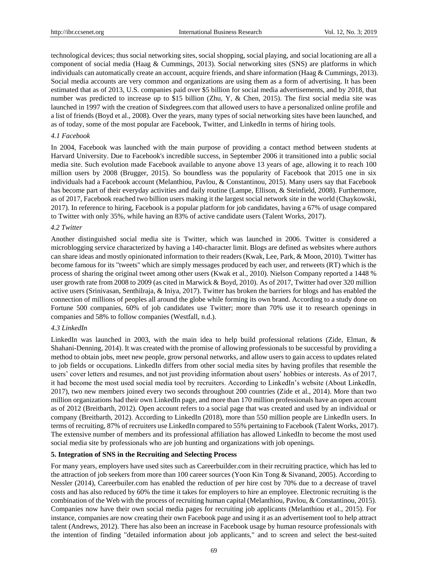technological devices; thus social networking sites, social shopping, social playing, and social locationing are all a component of social media (Haag & Cummings, 2013). Social networking sites (SNS) are platforms in which individuals can automatically create an account, acquire friends, and share information (Haag & Cummings, 2013). Social media accounts are very common and organizations are using them as a form of advertising. It has been estimated that as of 2013, U.S. companies paid over \$5 billion for social media advertisements, and by 2018, that number was predicted to increase up to \$15 billion (Zhu, Y, & Chen, 2015). The first social media site was launched in 1997 with the creation of Sixdegrees.com that allowed users to have a personalized online profile and a list of friends (Boyd et al., 2008). Over the years, many types of social networking sites have been launched, and as of today, some of the most popular are Facebook, Twitter, and LinkedIn in terms of hiring tools.

## *4.1 Facebook*

In 2004, Facebook was launched with the main purpose of providing a contact method between students at Harvard University. Due to Facebook's incredible success, in September 2006 it transitioned into a public social media site. Such evolution made Facebook available to anyone above 13 years of age, allowing it to reach 100 million users by 2008 (Brugger, 2015). So boundless was the popularity of Facebook that 2015 one in six individuals had a Facebook account (Melanthiou, Pavlou, & Constantinou, 2015). Many users say that Facebook has become part of their everyday activities and daily routine (Lampe, Ellison, & Steinfield, 2008). Furthermore, as of 2017, Facebook reached two billion users making it the largest social network site in the world (Chaykowski, 2017). In reference to hiring, Facebook is a popular platform for job candidates, having a 67% of usage compared to Twitter with only 35%, while having an 83% of active candidate users (Talent Works, 2017).

## *4.2 Twitter*

Another distinguished social media site is Twitter, which was launched in 2006. Twitter is considered a microblogging service characterized by having a 140-character limit. Blogs are defined as websites where authors can share ideas and mostly opinionated information to their readers (Kwak, Lee, Park, & Moon, 2010). Twitter has become famous for its "tweets" which are simply messages produced by each user, and retweets (RT) which is the process of sharing the original tweet among other users (Kwak et al., 2010). Nielson Company reported a 1448 % user growth rate from 2008 to 2009 (as cited in Marwick & Boyd, 2010). As of 2017, Twitter had over 320 million active users (Srinivasan, Senthilraja, & Iniya, 2017). Twitter has broken the barriers for blogs and has enabled the connection of millions of peoples all around the globe while forming its own brand. According to a study done on Fortune 500 companies, 60% of job candidates use Twitter; more than 70% use it to research openings in companies and 58% to follow companies (Westfall, n.d.).

## *4.3 LinkedIn*

LinkedIn was launched in 2003, with the main idea to help build professional relations (Zide, Elman, & Shahani-Denning, 2014). It was created with the promise of allowing professionals to be successful by providing a method to obtain jobs, meet new people, grow personal networks, and allow users to gain access to updates related to job fields or occupations. LinkedIn differs from other social media sites by having profiles that resemble the users' cover letters and resumes, and not just providing information about users' hobbies or interests. As of 2017, it had become the most used social media tool by recruiters. According to LinkedIn's website (About LinkedIn, 2017), two new members joined every two seconds throughout 200 countries (Zide et al., 2014). More than two million organizations had their own LinkedIn page, and more than 170 million professionals have an open account as of 2012 (Breitbarth, 2012). Open account refers to a social page that was created and used by an individual or company (Breitbarth, 2012). According to LinkedIn (2018), more than 550 million people are LinkedIn users. In terms of recruiting, 87% of recruiters use LinkedIn compared to 55% pertaining to Facebook (Talent Works, 2017). The extensive number of members and its professional affiliation has allowed LinkedIn to become the most used social media site by professionals who are job hunting and organizations with job openings.

#### **5. Integration of SNS in the Recruiting and Selecting Process**

For many years, employers have used sites such as Careerbuilder.com in their recruiting practice, which has led to the attraction of job seekers from more than 100 career sources (Yoon Kin Tong & Sivanand, 2005). According to Nessler (2014), Careerbuiler.com has enabled the reduction of per hire cost by 70% due to a decrease of travel costs and has also reduced by 60% the time it takes for employers to hire an employee. Electronic recruiting is the combination of the Web with the process of recruiting human capital (Melanthiou, Pavlou, & Constantinou, 2015). Companies now have their own social media pages for recruiting job applicants (Melanthiou et al., 2015). For instance, companies are now creating their own Facebook page and using it as an advertisement tool to help attract talent (Andrews, 2012). There has also been an increase in Facebook usage by human resource professionals with the intention of finding "detailed information about job applicants," and to screen and select the best-suited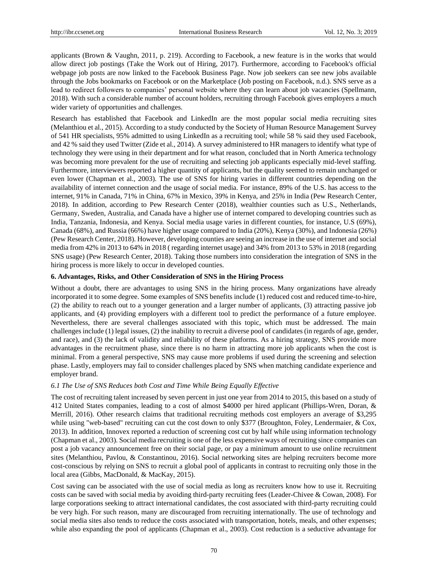applicants (Brown & Vaughn, 2011, p. 219). According to Facebook, a new feature is in the works that would allow direct job postings (Take the Work out of Hiring, 2017). Furthermore, according to Facebook's official webpage job posts are now linked to the Facebook Business Page. Now job seekers can see new jobs available through the Jobs bookmarks on Facebook or on the Marketplace (Job posting on Facebook, n.d.). SNS serve as a lead to redirect followers to companies' personal website where they can learn about job vacancies (Spellmann, 2018). With such a considerable number of account holders, recruiting through Facebook gives employers a much wider variety of opportunities and challenges.

Research has established that Facebook and LinkedIn are the most popular social media recruiting sites (Melanthiou et al., 2015). According to a study conducted by the Society of Human Resource Management Survey of 541 HR specialists, 95% admitted to using LinkedIn as a recruiting tool; while 58 % said they used Facebook, and 42 % said they used Twitter (Zide et al., 2014). A survey administered to HR managers to identify what type of technology they were using in their department and for what reason, concluded that in North America technology was becoming more prevalent for the use of recruiting and selecting job applicants especially mid-level staffing. Furthermore, interviewers reported a higher quantity of applicants, but the quality seemed to remain unchanged or even lower (Chapman et al., 2003). The use of SNS for hiring varies in different countries depending on the availability of internet connection and the usage of social media. For instance, 89% of the U.S. has access to the internet, 91% in Canada, 71% in China, 67% in Mexico, 39% in Kenya, and 25% in India (Pew Research Center, 2018). In addition, according to Pew Research Center (2018), wealthier counties such as U.S., Netherlands, Germany, Sweden, Australia, and Canada have a higher use of internet compared to developing countries such as India, Tanzania, Indonesia, and Kenya. Social media usage varies in different counties, for instance, U.S (69%), Canada (68%), and Russia (66%) have higher usage compared to India (20%), Kenya (30%), and Indonesia (26%) (Pew Research Center, 2018). However, developing counties are seeing an increase in the use of internet and social media from 42% in 2013 to 64% in 2018 ( regarding internet usage) and 34% from 2013 to 53% in 2018 (regarding SNS usage) (Pew Research Center, 2018). Taking those numbers into consideration the integration of SNS in the hiring process is more likely to occur in developed counties.

## **6. Advantages, Risks, and Other Consideration of SNS in the Hiring Process**

Without a doubt, there are advantages to using SNS in the hiring process. Many organizations have already incorporated it to some degree. Some examples of SNS benefits include (1) reduced cost and reduced time-to-hire, (2) the ability to reach out to a younger generation and a larger number of applicants, (3) attracting passive job applicants, and (4) providing employers with a different tool to predict the performance of a future employee. Nevertheless, there are several challenges associated with this topic, which must be addressed. The main challenges include (1) legal issues, (2) the inability to recruit a diverse pool of candidates (in regards of age, gender, and race), and (3) the lack of validity and reliability of these platforms. As a hiring strategy, SNS provide more advantages in the recruitment phase, since there is no harm in attracting more job applicants when the cost is minimal. From a general perspective, SNS may cause more problems if used during the screening and selection phase. Lastly, employers may fail to consider challenges placed by SNS when matching candidate experience and employer brand.

#### *6.1 The Use of SNS Reduces both Cost and Time While Being Equally Effective*

The cost of recruiting talent increased by seven percent in just one year from 2014 to 2015, this based on a study of 412 United States companies, leading to a cost of almost \$4000 per hired applicant (Phillips-Wren, Doran, & Merrill, 2016). Other research claims that traditional recruiting methods cost employers an average of \$3,295 while using "web-based" recruiting can cut the cost down to only \$377 (Broughton, Foley, Lendermaier, & Cox, 2013). In addition, Innovex reported a reduction of screening cost cut by half while using information technology (Chapman et al., 2003). Social media recruiting is one of the less expensive ways of recruiting since companies can post a job vacancy announcement free on their social page, or pay a minimum amount to use online recruitment sites (Melanthiou, Pavlou, & Constantinou, 2016). Social networking sites are helping recruiters become more cost-conscious by relying on SNS to recruit a global pool of applicants in contrast to recruiting only those in the local area (Gibbs, MacDonald, & MacKay, 2015).

Cost saving can be associated with the use of social media as long as recruiters know how to use it. Recruiting costs can be saved with social media by avoiding third-party recruiting fees (Leader-Chivee & Cowan, 2008). For large corporations seeking to attract international candidates, the cost associated with third-party recruiting could be very high. For such reason, many are discouraged from recruiting internationally. The use of technology and social media sites also tends to reduce the costs associated with transportation, hotels, meals, and other expenses; while also expanding the pool of applicants (Chapman et al., 2003). Cost reduction is a seductive advantage for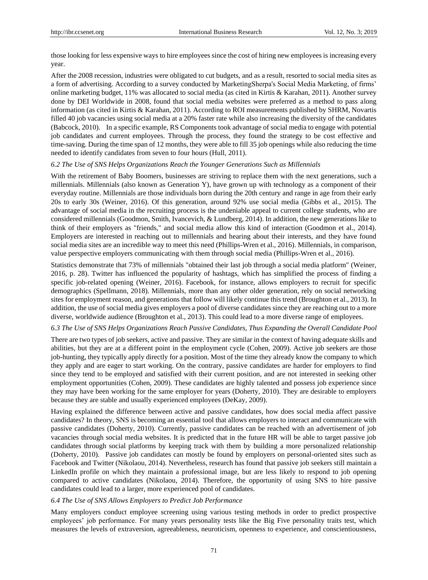those looking for less expensive ways to hire employees since the cost of hiring new employees is increasing every year.

After the 2008 recession, industries were obligated to cut budgets, and as a result, resorted to social media sites as a form of advertising. According to a survey conducted by MarketingSherpa's Social Media Marketing, of firms' online marketing budget, 11% was allocated to social media (as cited in Kirtis & Karahan, 2011). Another survey done by DEI Worldwide in 2008, found that social media websites were preferred as a method to pass along information (as cited in Kirtis & Karahan, 2011). According to ROI measurements published by SHRM, Novartis filled 40 job vacancies using social media at a 20% faster rate while also increasing the diversity of the candidates (Babcock, 2010). In a specific example, RS Components took advantage of social media to engage with potential job candidates and current employees. Through the process, they found the strategy to be cost effective and time-saving. During the time span of 12 months, they were able to fill 35 job openings while also reducing the time needed to identify candidates from seven to four hours (Hull, 2011).

#### *6.2 The Use of SNS Helps Organizations Reach the Younger Generations Such as Millennials*

With the retirement of Baby Boomers, businesses are striving to replace them with the next generations, such a millennials. Millennials (also known as Generation Y), have grown up with technology as a component of their everyday routine. Millennials are those individuals born during the 20th century and range in age from their early 20s to early 30s (Weiner, 2016). Of this generation, around 92% use social media (Gibbs et al., 2015). The advantage of social media in the recruiting process is the undeniable appeal to current college students, who are considered millennials (Goodmon, Smith, Ivancevich, & Lundberg, 2014). In addition, the new generations like to think of their employers as "friends," and social media allow this kind of interaction (Goodmon et al., 2014). Employers are interested in reaching out to millennials and hearing about their interests, and they have found social media sites are an incredible way to meet this need (Phillips-Wren et al., 2016). Millennials, in comparison, value perspective employers communicating with them through social media (Phillips-Wren et al., 2016).

Statistics demonstrate that 73% of millennials "obtained their last job through a social media platform" (Weiner, 2016, p. 28). Twitter has influenced the popularity of hashtags, which has simplified the process of finding a specific job-related opening (Weiner, 2016). Facebook, for instance, allows employers to recruit for specific demographics (Spellmann, 2018). Millennials, more than any other older generation, rely on social networking sites for employment reason, and generations that follow will likely continue this trend (Broughton et al., 2013). In addition, the use of social media gives employers a pool of diverse candidates since they are reaching out to a more diverse, worldwide audience (Broughton et al., 2013). This could lead to a more diverse range of employees.

## *6.3 The Use of SNS Helps Organizations Reach Passive Candidates, Thus Expanding the Overall Candidate Pool*

There are two types of job seekers, active and passive. They are similar in the context of having adequate skills and abilities, but they are at a different point in the employment cycle (Cohen, 2009). Active job seekers are those job-hunting, they typically apply directly for a position. Most of the time they already know the company to which they apply and are eager to start working. On the contrary, passive candidates are harder for employers to find since they tend to be employed and satisfied with their current position, and are not interested in seeking other employment opportunities (Cohen, 2009). These candidates are highly talented and possess job experience since they may have been working for the same employer for years (Doherty, 2010). They are desirable to employers because they are stable and usually experienced employees (DeKay, 2009).

Having explained the difference between active and passive candidates, how does social media affect passive candidates? In theory, SNS is becoming an essential tool that allows employers to interact and communicate with passive candidates (Doherty, 2010). Currently, passive candidates can be reached with an advertisement of job vacancies through social media websites. It is predicted that in the future HR will be able to target passive job candidates through social platforms by keeping track with them by building a more personalized relationship (Doherty, 2010). Passive job candidates can mostly be found by employers on personal-oriented sites such as Facebook and Twitter (Nikolaou, 2014). Nevertheless, research has found that passive job seekers still maintain a LinkedIn profile on which they maintain a professional image, but are less likely to respond to job opening compared to active candidates (Nikolaou, 2014). Therefore, the opportunity of using SNS to hire passive candidates could lead to a larger, more experienced pool of candidates.

#### *6.4 The Use of SNS Allows Employers to Predict Job Performance*

Many employers conduct employee screening using various testing methods in order to predict prospective employees' job performance. For many years personality tests like the Big Five personality traits test, which measures the levels of extraversion, agreeableness, neuroticism, openness to experience, and conscientiousness,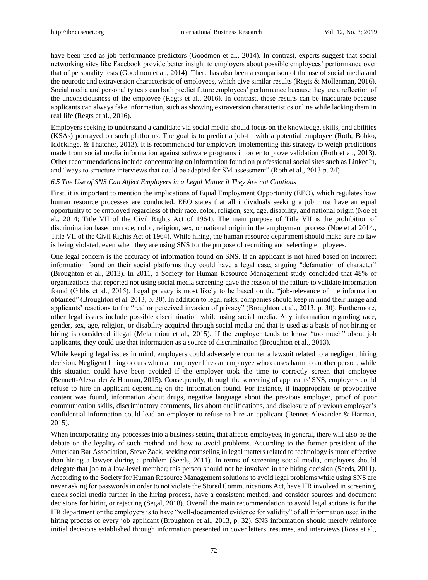have been used as job performance predictors (Goodmon et al., 2014). In contrast, experts suggest that social networking sites like Facebook provide better insight to employers about possible employees' performance over that of personality tests (Goodmon et al., 2014). There has also been a comparison of the use of social media and the neurotic and extraversion characteristic of employees, which give similar results (Regts & Mollenman, 2016). Social media and personality tests can both predict future employees' performance because they are a reflection of the unconsciousness of the employee (Regts et al., 2016). In contrast, these results can be inaccurate because applicants can always fake information, such as showing extraversion characteristics online while lacking them in real life (Regts et al., 2016).

Employers seeking to understand a candidate via social media should focus on the knowledge, skills, and abilities (KSAs) portrayed on such platforms. The goal is to predict a job-fit with a potential employee (Roth, Bobko, Iddekinge, & Thatcher, 2013). It is recommended for employers implementing this strategy to weigh predictions made from social media information against software programs in order to prove validation (Roth et al., 2013). Other recommendations include concentrating on information found on professional social sites such as LinkedIn, and "ways to structure interviews that could be adapted for SM assessment" (Roth et al., 2013 p. 24).

## *6.5 The Use of SNS Can Affect Employers in a Legal Matter if They Are not Cautious*

First, it is important to mention the implications of Equal Employment Opportunity (EEO), which regulates how human resource processes are conducted. EEO states that all individuals seeking a job must have an equal opportunity to be employed regardless of their race, color, religion, sex, age, disability, and national origin (Noe et al., 2014; Title VII of the Civil Rights Act of 1964). The main purpose of Title VII is the prohibition of discrimination based on race, color, religion, sex, or national origin in the employment process (Noe et al 2014., Title VII of the Civil Rights Act of 1964). While hiring, the human resource department should make sure no law is being violated, even when they are using SNS for the purpose of recruiting and selecting employees.

One legal concern is the accuracy of information found on SNS. If an applicant is not hired based on incorrect information found on their social platforms they could have a legal case, arguing "defamation of character" (Broughton et al., 2013). In 2011, a Society for Human Resource Management study concluded that 48% of organizations that reported not using social media screening gave the reason of the failure to validate information found (Gibbs et al., 2015). Legal privacy is most likely to be based on the "job-relevance of the information obtained" (Broughton et al. 2013, p. 30). In addition to legal risks, companies should keep in mind their image and applicants' reactions to the "real or perceived invasion of privacy" (Broughton et al., 2013, p. 30). Furthermore, other legal issues include possible discrimination while using social media. Any information regarding race, gender, sex, age, religion, or disability acquired through social media and that is used as a basis of not hiring or hiring is considered illegal (Melanthiou et al., 2015). If the employer tends to know "too much" about job applicants, they could use that information as a source of discrimination (Broughton et al., 2013).

While keeping legal issues in mind, employers could adversely encounter a lawsuit related to a negligent hiring decision. Negligent hiring occurs when an employer hires an employee who causes harm to another person, while this situation could have been avoided if the employer took the time to correctly screen that employee (Bennett-Alexander & Harman, 2015). Consequently, through the screening of applicants' SNS, employers could refuse to hire an applicant depending on the information found. For instance, if inappropriate or provocative content was found, information about drugs, negative language about the previous employer, proof of poor communication skills, discriminatory comments, lies about qualifications, and disclosure of previous employer's confidential information could lead an employer to refuse to hire an applicant (Bennet-Alexander & Harman, 2015).

When incorporating any processes into a business setting that affects employees, in general, there will also be the debate on the legality of such method and how to avoid problems. According to the former president of the American Bar Association, Steve Zack, seeking counseling in legal matters related to technology is more effective than hiring a lawyer during a problem (Seeds, 2011). In terms of screening social media, employers should delegate that job to a low-level member; this person should not be involved in the hiring decision (Seeds, 2011). According to the Society for Human Resource Management solutions to avoid legal problems while using SNS are never asking for passwords in order to not violate the Stored Communications Act, have HR involved in screening, check social media further in the hiring process, have a consistent method, and consider sources and document decisions for hiring or rejecting (Segal, 2018). Overall the main recommendation to avoid legal actions is for the HR department or the employers is to have "well-documented evidence for validity" of all information used in the hiring process of every job applicant (Broughton et al., 2013, p. 32). SNS information should merely reinforce initial decisions established through information presented in cover letters, resumes, and interviews (Ross et al.,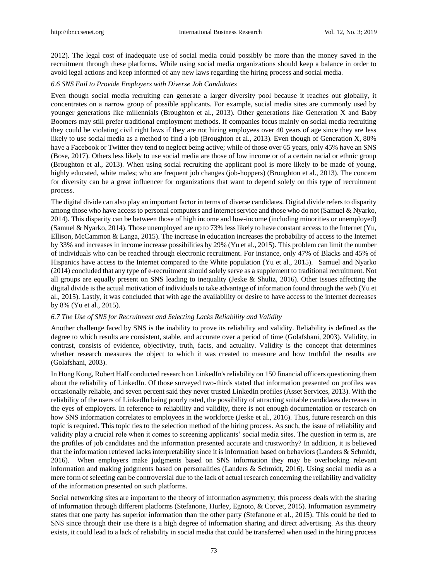2012). The legal cost of inadequate use of social media could possibly be more than the money saved in the recruitment through these platforms. While using social media organizations should keep a balance in order to avoid legal actions and keep informed of any new laws regarding the hiring process and social media.

## *6.6 SNS Fail to Provide Employers with Diverse Job Candidates*

Even though social media recruiting can generate a larger diversity pool because it reaches out globally, it concentrates on a narrow group of possible applicants. For example, social media sites are commonly used by younger generations like millennials (Broughton et al., 2013). Other generations like Generation X and Baby Boomers may still prefer traditional employment methods. If companies focus mainly on social media recruiting they could be violating civil right laws if they are not hiring employees over 40 years of age since they are less likely to use social media as a method to find a job (Broughton et al., 2013). Even though of Generation X, 80% have a Facebook or Twitter they tend to neglect being active; while of those over 65 years, only 45% have an SNS (Bose, 2017). Others less likely to use social media are those of low income or of a certain racial or ethnic group (Broughton et al., 2013). When using social recruiting the applicant pool is more likely to be made of young, highly educated, white males; who are frequent job changes (job-hoppers) (Broughton et al., 2013). The concern for diversity can be a great influencer for organizations that want to depend solely on this type of recruitment process.

The digital divide can also play an important factor in terms of diverse candidates. Digital divide refers to disparity among those who have access to personal computers and internet service and those who do not (Samuel & Nyarko, 2014). This disparity can be between those of high income and low-income (including minorities or unemployed) (Samuel & Nyarko, 2014). Those unemployed are up to 73% less likely to have constant access to the Internet (Yu, Ellison, McCammon & Langa, 2015). The increase in education increases the probability of access to the Internet by 33% and increases in income increase possibilities by 29% (Yu et al., 2015). This problem can limit the number of individuals who can be reached through electronic recruitment. For instance, only 47% of Blacks and 45% of Hispanics have access to the Internet compared to the White population (Yu et al., 2015). Samuel and Nyarko (2014) concluded that any type of e-recruitment should solely serve as a supplement to traditional recruitment. Not all groups are equally present on SNS leading to inequality (Jeske & Shultz, 2016). Other issues affecting the digital divide is the actual motivation of individuals to take advantage of information found through the web (Yu et al., 2015). Lastly, it was concluded that with age the availability or desire to have access to the internet decreases by 8% (Yu et al., 2015).

## *6.7 The Use of SNS for Recruitment and Selecting Lacks Reliability and Validity*

Another challenge faced by SNS is the inability to prove its reliability and validity. Reliability is defined as the degree to which results are consistent, stable, and accurate over a period of time (Golafshani, 2003). Validity, in contrast, consists of evidence, objectivity, truth, facts, and actuality. Validity is the concept that determines whether research measures the object to which it was created to measure and how truthful the results are (Golafshani, 2003).

In Hong Kong, Robert Half conducted research on LinkedIn's reliability on 150 financial officers questioning them about the reliability of LinkedIn. Of those surveyed two-thirds stated that information presented on profiles was occasionally reliable, and seven percent said they never trusted LinkedIn profiles (Asset Services, 2013). With the reliability of the users of LinkedIn being poorly rated, the possibility of attracting suitable candidates decreases in the eyes of employers. In reference to reliability and validity, there is not enough documentation or research on how SNS information correlates to employees in the workforce (Jeske et al., 2016). Thus, future research on this topic is required. This topic ties to the selection method of the hiring process. As such, the issue of reliability and validity play a crucial role when it comes to screening applicants' social media sites. The question in term is, are the profiles of job candidates and the information presented accurate and trustworthy? In addition, it is believed that the information retrieved lacks interpretability since it is information based on behaviors (Landers & Schmidt, 2016). When employers make judgments based on SNS information they may be overlooking relevant information and making judgments based on personalities (Landers & Schmidt, 2016). Using social media as a mere form of selecting can be controversial due to the lack of actual research concerning the reliability and validity of the information presented on such platforms.

Social networking sites are important to the theory of information asymmetry; this process deals with the sharing of information through different platforms (Stefanone, Hurley, Egnoto, & Corvet, 2015). Information asymmetry states that one party has superior information than the other party (Stefanone et al., 2015). This could be tied to SNS since through their use there is a high degree of information sharing and direct advertising. As this theory exists, it could lead to a lack of reliability in social media that could be transferred when used in the hiring process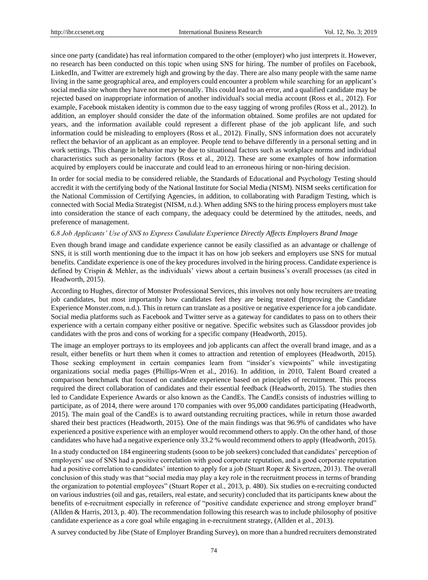since one party (candidate) has real information compared to the other (employer) who just interprets it. However, no research has been conducted on this topic when using SNS for hiring. The number of profiles on Facebook, LinkedIn, and Twitter are extremely high and growing by the day. There are also many people with the same name living in the same geographical area, and employers could encounter a problem while searching for an applicant's social media site whom they have not met personally. This could lead to an error, and a qualified candidate may be rejected based on inappropriate information of another individual's social media account (Ross et al., 2012). For example, Facebook mistaken identity is common due to the easy tagging of wrong profiles (Ross et al., 2012). In addition, an employer should consider the date of the information obtained. Some profiles are not updated for years, and the information available could represent a different phase of the job applicant life, and such information could be misleading to employers (Ross et al., 2012). Finally, SNS information does not accurately reflect the behavior of an applicant as an employee. People tend to behave differently in a personal setting and in work settings. This change in behavior may be due to situational factors such as workplace norms and individual characteristics such as personality factors (Ross et al., 2012). These are some examples of how information acquired by employers could be inaccurate and could lead to an erroneous hiring or non-hiring decision.

In order for social media to be considered reliable, the Standards of Educational and Psychology Testing should accredit it with the certifying body of the National Institute for Social Media (NISM). NISM seeks certification for the National Commission of Certifying Agencies, in addition, to collaborating with Paradigm Testing, which is connected with Social Media Strategist (NISM, n.d.). When adding SNS to the hiring process employers must take into consideration the stance of each company, the adequacy could be determined by the attitudes, needs, and preference of management.

#### *6.8 Job Applicants' Use of SNS to Express Candidate Experience Directly Affects Employers Brand Image*

Even though brand image and candidate experience cannot be easily classified as an advantage or challenge of SNS, it is still worth mentioning due to the impact it has on how job seekers and employers use SNS for mutual benefits. Candidate experience is one of the key procedures involved in the hiring process. Candidate experience is defined by Crispin & Mehler, as the individuals' views about a certain business's overall processes (as cited in Headworth, 2015).

According to Hughes, director of Monster Professional Services, this involves not only how recruiters are treating job candidates, but most importantly how candidates feel they are being treated (Improving the Candidate Experience Monster.com, n.d.). This in return can translate as a positive or negative experience for a job candidate. Social media platforms such as Facebook and Twitter serve as a gateway for candidates to pass on to others their experience with a certain company either positive or negative. Specific websites such as Glassdoor provides job candidates with the pros and cons of working for a specific company (Headworth, 2015).

The image an employer portrays to its employees and job applicants can affect the overall brand image, and as a result, either benefits or hurt them when it comes to attraction and retention of employees (Headworth, 2015). Those seeking employment in certain companies learn from "insider's viewpoints" while investigating organizations social media pages (Phillips-Wren et al., 2016). In addition, in 2010, Talent Board created a comparison benchmark that focused on candidate experience based on principles of recruitment. This process required the direct collaboration of candidates and their essential feedback (Headworth, 2015). The studies then led to Candidate Experience Awards or also known as the CandEs. The CandEs consists of industries willing to participate, as of 2014, there were around 170 companies with over 95,000 candidates participating (Headworth, 2015). The main goal of the CandEs is to award outstanding recruiting practices, while in return those awarded shared their best practices (Headworth, 2015). One of the main findings was that 96.9% of candidates who have experienced a positive experience with an employer would recommend others to apply. On the other hand, of those candidates who have had a negative experience only 33.2 % would recommend others to apply (Headworth, 2015).

In a study conducted on 184 engineering students (soon to be job seekers) concluded that candidates' perception of employers' use of SNS had a positive correlation with good corporate reputation, and a good corporate reputation had a positive correlation to candidates' intention to apply for a job (Stuart Roper & Sivertzen, 2013). The overall conclusion of this study was that "social media may play a key role in the recruitment process in terms of branding the organization to potential employees" (Stuart Roper et al., 2013, p. 480). Six studies on e-recruiting conducted on various industries (oil and gas, retailers, real estate, and security) concluded that its participants knew about the benefits of e-recruitment especially in reference of "positive candidate experience and strong employer brand" (Allden & Harris, 2013, p. 40). The recommendation following this research was to include philosophy of positive candidate experience as a core goal while engaging in e-recruitment strategy, (Allden et al., 2013).

A survey conducted by Jibe (State of Employer Branding Survey), on more than a hundred recruiters demonstrated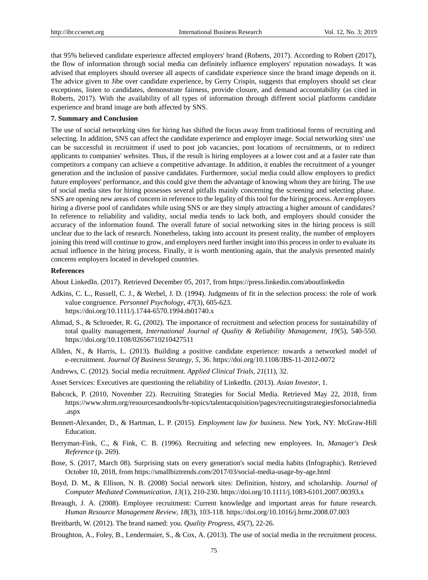that 95% believed candidate experience affected employers' brand (Roberts, 2017). According to Robert (2017), the flow of information through social media can definitely influence employers' reputation nowadays. It was advised that employers should oversee all aspects of candidate experience since the brand image depends on it. The advice given to Jibe over candidate experience, by Gerry Crispin, suggests that employers should set clear exceptions, listen to candidates, demonstrate fairness, provide closure, and demand accountability (as cited in Roberts, 2017). With the availability of all types of information through different social platforms candidate experience and brand image are both affected by SNS.

#### **7. Summary and Conclusion**

The use of social networking sites for hiring has shifted the focus away from traditional forms of recruiting and selecting. In addition, SNS can affect the candidate experience and employer image. Social networking sites' use can be successful in recruitment if used to post job vacancies, post locations of recruitments, or to redirect applicants to companies' websites. Thus, if the result is hiring employees at a lower cost and at a faster rate than competitors a company can achieve a competitive advantage. In addition, it enables the recruitment of a younger generation and the inclusion of passive candidates. Furthermore, social media could allow employers to predict future employees' performance, and this could give them the advantage of knowing whom they are hiring. The use of social media sites for hiring possesses several pitfalls mainly concerning the screening and selecting phase. SNS are opening new areas of concern in reference to the legality of this tool for the hiring process. Are employers hiring a diverse pool of candidates while using SNS or are they simply attracting a higher amount of candidates? In reference to reliability and validity, social media tends to lack both, and employers should consider the accuracy of the information found. The overall future of social networking sites in the hiring process is still unclear due to the lack of research. Nonetheless, taking into account its present reality, the number of employers joining this trend will continue to grow, and employers need further insight into this process in order to evaluate its actual influence in the hiring process. Finally, it is worth mentioning again, that the analysis presented mainly concerns employers located in developed countries.

## **References**

About LinkedIn. (2017). Retrieved December 05, 2017, from https://press.linkedin.com/aboutlinkedin

- Adkins, C. L., Russell, C. J., & Werbel, J. D. (1994). Judgments of fit in the selection process: the role of work value congruence. *Personnel Psychology*, *47*(3), 605-623. https://doi.org/10.1111/j.1744-6570.1994.tb01740.x
- [Ahmad,](https://www.emeraldinsight.com/author/Ahmad%2C+Sohel) S., [&](https://www.emeraldinsight.com/author/Schroeder%2C+Roger+G) [Schroeder,](https://www.emeraldinsight.com/author/Schroeder%2C+Roger+G) R. G, (2002). The importance of recruitment and selection process for sustainability of total quality management, *International Journal of Quality & Reliability Management*, *19*(5), 540-550[.](https://doi.org/10.1108/02656710210427511) <https://doi.org/10.1108/02656710210427511>
- Allden, N., & Harris, L. (2013). Building a positive candidate experience: towards a networked model of e-recruitment. *Journal Of Business Strategy*, *5*, 36. https://doi.org/10.1108/JBS-11-2012-0072
- Andrews, C. (2012). Social media recruitment. *Applied Clinical Trials*, *21*(11), 32.
- Asset Services: Executives are questioning the reliability of LinkedIn. (2013). *Asian Investor*, 1.
- Babcock, P. (2010, November 22). Recruiting Strategies for Social Media. Retrieved May 22, 2018, from [https://www.shrm.org/resourcesandtools/hr-topics/talentacquisition/pages/recruitingstrategiesforsocialmedia](https://www.shrm.org/resourcesandtools/hr-topics/talent-acquisition/pages/recruitingstrategiesforsocialmedia.aspx) [.aspx](https://www.shrm.org/resourcesandtools/hr-topics/talent-acquisition/pages/recruitingstrategiesforsocialmedia.aspx)
- Bennett-Alexander, D., & Hartman, L. P. (2015). *Employment law for business*. New York, NY: McGraw-Hill Education.
- Berryman-Fink, C., & Fink, C. B. (1996). Recruiting and selecting new employees. In, *Manager's Desk Reference* (p. 269).
- Bose, S. (2017, March 08). Surprising stats on every generation's social media habits (Infographic). Retrieved October 10, 2018, from https://smallbiztrends.com/2017/03/social-media-usage-by-age.html
- Boyd, D. M., & Ellison, N. B. (2008) Social network sites: Definition, history, and scholarship. *Journal of Computer Mediated Communication, 13*(1), 210-230. https://doi.org/10.1111/j.1083-6101.2007.00393.x
- Breaugh, J. A. (2008). Employee recruitment: Current knowledge and important areas for future research. *Human Resource Management Review*, *18*(3), 103-118. https://doi.org/10.1016/j.hrmr.2008.07.003
- Breitbarth, W. (2012). The brand named: you. *Quality Progress*, *45*(7), 22-26.
- Broughton, A., Foley, B., Lendermaier, S., & Cox, A. (2013). The use of social media in the recruitment process.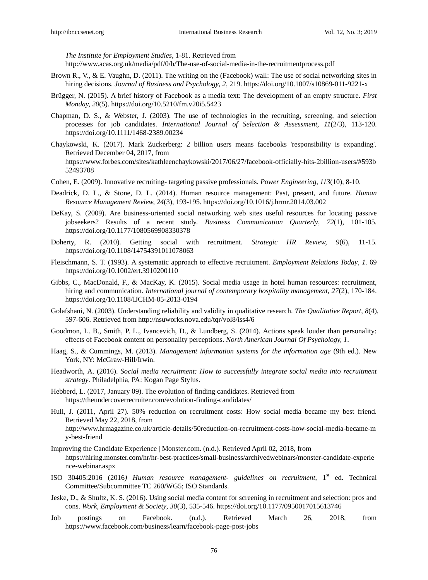*The Institute for Employment Studies,* 1-81. Retrieved from

[http://www.acas.org.uk/media/pdf/0/b/The-use-of-social-media-in-the-recruitmentprocess.pdf](http://www.acas.org.uk/media/pdf/0/b/The-use-of-social-media-in-the-recruitment-process.pdf)

- Brown R., V., & E. Vaughn, D. (2011). The writing on the (Facebook) wall: The use of social networking sites in hiring decisions. *Journal of Business and Psychology*, *2,* 219. https://doi.org/10.1007/s10869-011-9221-x
- Brügger, N. (2015). A brief history of Facebook as a media text: The development of an empty structure. *First Monday, 20*(5). https://doi.org/10.5210/fm.v20i5.5423
- Chapman, D. S., & Webster, J. (2003). The use of technologies in the recruiting, screening, and selection processes for job candidates. *International Journal of Selection & Assessment*, *11*(2/3), 113-120. https://doi.org/10.1111/1468-2389.00234
- Chaykowski, K. (2017). Mark Zuckerberg: 2 billion users means facebooks 'responsibility is expanding'. Retrieved December 04, 2017, from https://www.forbes.com/sites/kathleenchaykowski/2017/06/27/facebook-officially-hits-2billion-users/#593b 52493708
- Cohen, E. (2009). Innovative recruiting- targeting passive professionals. *Power Engineering*, *113*(10), 8-10.
- Deadrick, D. L., & Stone, D. L. (2014). Human resource management: Past, present, and future. *Human Resource Management Review, 24*(3), 193-195. https://doi.org/10.1016/j.hrmr.2014.03.002
- DeKay, S. (2009). Are business-oriented social networking web sites useful resources for locating passive jobseekers? Results of a recent study. *Business Communication Quarterly*, *72*(1), 101-105. https://doi.org/10.1177/1080569908330378
- Doherty, R. (2010). Getting social with recruitment. *Strategic HR Review, 9*(6), 11-15. https://doi.org/10.1108/14754391011078063
- Fleischmann, S. T. (1993). A systematic approach to effective recruitment. *Employment Relations Today*, *1.* 69 https://doi.org/10.1002/ert.3910200110
- Gibbs, C., MacDonald, F., & MacKay, K. (2015). Social media usage in hotel human resources: recruitment, hiring and communication. *International journal of contemporary hospitality management*, 27(2), 170-184. https://doi.org/10.1108/IJCHM-05-2013-0194
- Golafshani, N. (2003). Understanding reliability and validity in qualitative research. *The Qualitative Report*, *8*(4), 597-606. Retrieved from http://nsuworks.nova.edu/tqr/vol8/iss4/6
- Goodmon, L. B., Smith, P. L., Ivancevich, D., & Lundberg, S. (2014). Actions speak louder than personality: effects of Facebook content on personality perceptions. *North American Journal Of Psychology, 1*.
- Haag, S., & Cummings, M. (2013). *Management information systems for the information age* (9th ed.). New York, NY: McGraw-Hill/Irwin.
- Headworth, A. (2016). *Social media recruitment: How to successfully integrate social media into recruitment strategy*. Philadelphia, PA: Kogan Page Stylus.
- Hebberd, L. (2017, January 09). The evolution of finding candidates. Retrieved from https://theundercoverrecruiter.com/evolution-finding-candidates/
- Hull, J. (2011, April 27). 50% reduction on recruitment costs: How social media became my best friend. Retrieved May 22, 2018, from http://www.hrmagazine.co.uk/article-details/50reduction-on-recruitment-costs-how-social-media-became-m y-best-friend
- Improving the Candidate Experience | Monster.com. (n.d.). Retrieved April 02, 2018, from https://hiring.monster.com/hr/hr-best-practices/small-business/archivedwebinars/monster-candidate-experie nce-webinar.aspx
- ISO 30405:2016 (2016*) Human resource management- guidelines on recruitment*, 1st ed. Technical Committee/Subcommittee TC 260/WG5; ISO Standards.
- Jeske, D., & Shultz, K. S. (2016). Using social media content for screening in recruitment and selection: pros and cons. *Work, Employment & Society*, *30*(3), 535-546. https://doi.org/10.1177/0950017015613746
- Job postings on Facebook. (n.d.). Retrieved March 26, 2018, from <https://www.facebook.com/business/learn/facebook-page-post-jobs>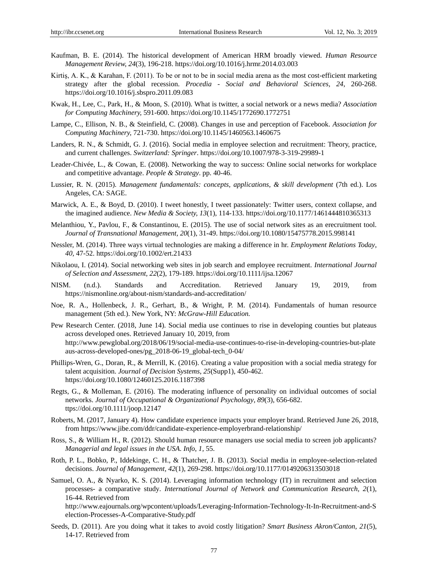- Kaufman, B. E. (2014). The historical development of American HRM broadly viewed. *Human Resource Management Review, 24*(3), 196-218. https://doi.org/10.1016/j.hrmr.2014.03.003
- Kirtiş, A. K., & Karahan, F. (2011). To be or not to be in social media arena as the most cost-efficient marketing strategy after the global recession. *Procedia - Social and Behavioral Sciences, 24*, 260-268. https://doi.org/10.1016/j.sbspro.2011.09.083
- Kwak, H., Lee, C., Park, H., & Moon, S. (2010). What is twitter, a social network or a news media? *Association for Computing Machinery,* 591-600. https://doi.org/10.1145/1772690.1772751
- Lampe, C., Ellison, N. B., & Steinfield, C. (2008). Changes in use and perception of Facebook. *Association for Computing Machinery,* 721-730. https://doi.org/10.1145/1460563.1460675
- Landers, R. N., & Schmidt, G. J. (2016). Social media in employee selection and recruitment: Theory, practice, and current challenges. *Switzerland: Springer*. https://doi.org/10.1007/978-3-319-29989-1
- Leader-Chivée, L., & Cowan, E. (2008). Networking the way to success: Online social networks for workplace and competitive advantage. *People & Strategy*. pp. 40-46.
- Lussier, R. N. (2015). *Management fundamentals: concepts, applications, & skill development* (7th ed.). Los Angeles, CA: SAGE.
- Marwick, A. E., & Boyd, D. (2010). I tweet honestly, I tweet passionately: Twitter users, context collapse, and the imagined audience. *New Media & Society, 13*(1), 114-133. https://doi.org/10.1177/1461444810365313
- Melanthiou, Y., Pavlou, F., & Constantinou, E. (2015). The use of social network sites as an erecruitment tool. *Journal of Transnational Management, 20*(1), 31-49. https://doi.org/10.1080/15475778.2015.998141
- Nessler, M. (2014). Three ways virtual technologies are making a difference in hr. *Employment Relations Today*, *40,* 47-52. https://doi.org/10.1002/ert.21433
- Nikolaou, I. (2014). Social networking web sites in job search and employee recruitment. *International Journal of Selection and Assessment, 22*(2), 179-189. https://doi.org/10.1111/ijsa.12067
- NISM. (n.d.). Standards and Accreditation. Retrieved January 19, 2019, from https://nismonline.org/about-nism/standards-and-accreditation/
- Noe, R. A., Hollenbeck, J. R., Gerhart, B., & Wright, P. M. (2014). Fundamentals of human resource management (5th ed.). New York, NY: *McGraw-Hill Education.*
- Pew Research Center. (2018, June 14). Social media use continues to rise in developing counties but plateaus across developed ones. Retrieved January 10, 2019, from http://www.pewglobal.org/2018/06/19/social-media-use-continues-to-rise-in-developing-countries-but-plate aus-across-developed-ones/pg\_2018-06-19\_global-tech\_0-04/
- Phillips-Wren, G., Doran, R., & Merrill, K. (2016). Creating a value proposition with a social media strategy for talent acquisition. *Journal of Decision Systems*, *25*(Supp1), 450-462. https://doi.org/10.1080/12460125.2016.1187398
- Regts, G., & Molleman, E. (2016). The moderating influence of personality on individual outcomes of social networks. *Journal of Occupational & Organizational Psychology*, *89*(3), 656-682. ttps://doi.org/10.1111/joop.12147
- Roberts, M. (2017, January 4). How candidate experience impacts your employer brand. Retrieved June 26, 2018, from https://www.jibe.com/ddr/candidate-experience-employerbrand-relationship/
- Ross, S., & William H., R. (2012). Should human resource managers use social media to screen job applicants? *Managerial and legal issues in the USA*. *Info*, *1,* 55.
- Roth, P. L., Bobko, P., Iddekinge, C. H., & Thatcher, J. B. (2013). Social media in employee-selection-related decisions. *Journal of Management, 42*(1), 269-298. https://doi.org/10.1177/0149206313503018
- Samuel, O. A., & Nyarko, K. S. (2014). Leveraging information technology (IT) in recruitment and selection processes- a comparative study*. International Journal of Network and Communication Research, 2*(1), 16-44. Retrieved from

[http://www.eajournals.org/wpcontent/uploads/Leveraging-Information-Technology-It-In-Recruitment-and-S](http://www.eajournals.org/wp-content/uploads/Leveraging-Information-Technology-It-In-Recruitment-and-Selection-Processes-A-Comparative-Study.pdf) [election-Processes-A-Comparative-Study.pdf](http://www.eajournals.org/wp-content/uploads/Leveraging-Information-Technology-It-In-Recruitment-and-Selection-Processes-A-Comparative-Study.pdf)

Seeds, D. (2011). Are you doing what it takes to avoid costly litigation? *Smart Business Akron/Canton, 21*(5), 14-17. Retrieved from